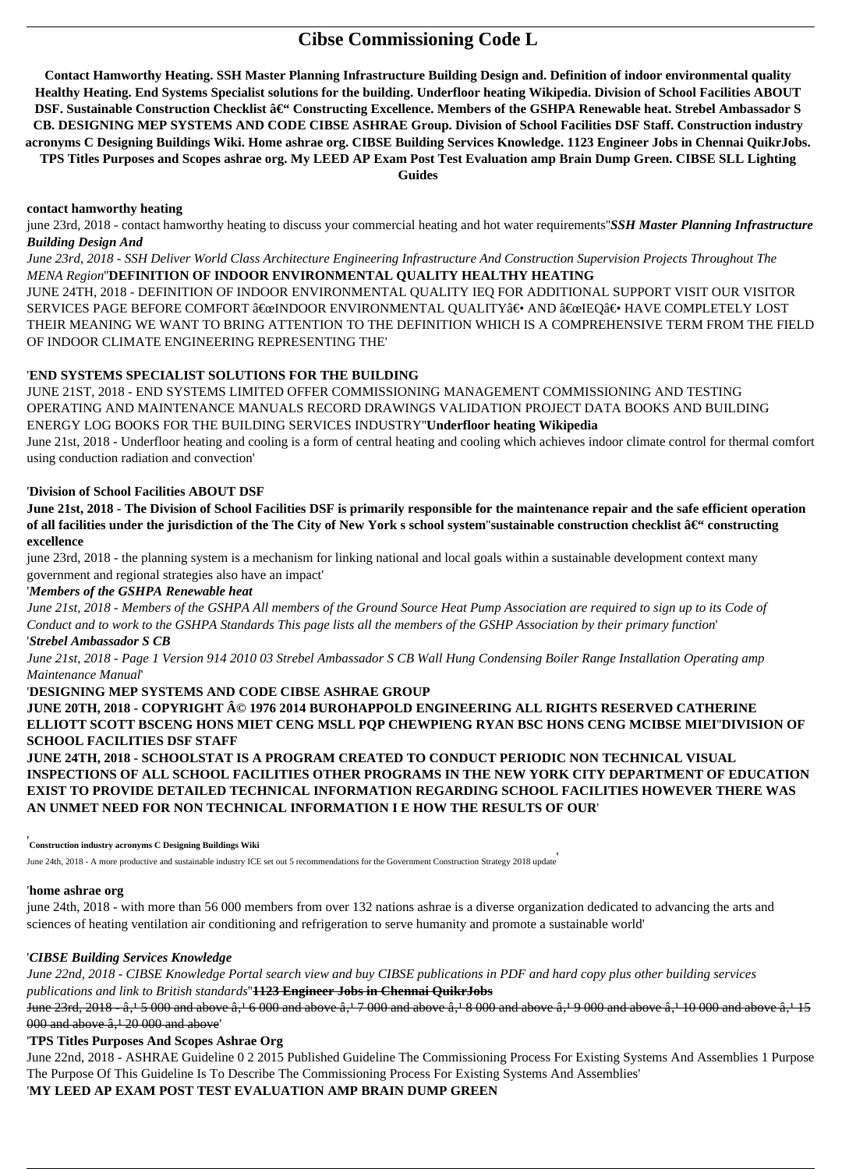# **Cibse Commissioning Code L**

**Contact Hamworthy Heating. SSH Master Planning Infrastructure Building Design and. Definition of indoor environmental quality Healthy Heating. End Systems Specialist solutions for the building. Underfloor heating Wikipedia. Division of School Facilities ABOUT** DSF. Sustainable Construction Checklist – Constructing Excellence. Members of the GSHPA Renewable heat. Strebel Ambassador S **CB. DESIGNING MEP SYSTEMS AND CODE CIBSE ASHRAE Group. Division of School Facilities DSF Staff. Construction industry acronyms C Designing Buildings Wiki. Home ashrae org. CIBSE Building Services Knowledge. 1123 Engineer Jobs in Chennai QuikrJobs. TPS Titles Purposes and Scopes ashrae org. My LEED AP Exam Post Test Evaluation amp Brain Dump Green. CIBSE SLL Lighting Guides**

### **contact hamworthy heating**

june 23rd, 2018 - contact hamworthy heating to discuss your commercial heating and hot water requirements''*SSH Master Planning Infrastructure Building Design And*

*June 23rd, 2018 - SSH Deliver World Class Architecture Engineering Infrastructure And Construction Supervision Projects Throughout The MENA Region*''**DEFINITION OF INDOOR ENVIRONMENTAL QUALITY HEALTHY HEATING**

JUNE 24TH, 2018 - DEFINITION OF INDOOR ENVIRONMENTAL QUALITY IEQ FOR ADDITIONAL SUPPORT VISIT OUR VISITOR SERVICES PAGE BEFORE COMFORT "INDOOR ENVIRONMENTAL QUALITY― AND "IEQ― HAVE COMPLETELY LOST THEIR MEANING WE WANT TO BRING ATTENTION TO THE DEFINITION WHICH IS A COMPREHENSIVE TERM FROM THE FIELD OF INDOOR CLIMATE ENGINEERING REPRESENTING THE'

## '**END SYSTEMS SPECIALIST SOLUTIONS FOR THE BUILDING**

JUNE 20TH, 2018 - COPYRIGHT © 1976 2014 BUROHAPPOLD ENGINEERING ALL RIGHTS RESERVED CATHERINE **ELLIOTT SCOTT BSCENG HONS MIET CENG MSLL PQP CHEWPIENG RYAN BSC HONS CENG MCIBSE MIEI**''**DIVISION OF SCHOOL FACILITIES DSF STAFF**

JUNE 21ST, 2018 - END SYSTEMS LIMITED OFFER COMMISSIONING MANAGEMENT COMMISSIONING AND TESTING OPERATING AND MAINTENANCE MANUALS RECORD DRAWINGS VALIDATION PROJECT DATA BOOKS AND BUILDING ENERGY LOG BOOKS FOR THE BUILDING SERVICES INDUSTRY''**Underfloor heating Wikipedia**

June 21st, 2018 - Underfloor heating and cooling is a form of central heating and cooling which achieves indoor climate control for thermal comfort using conduction radiation and convection'

## '**Division of School Facilities ABOUT DSF**

**June 21st, 2018 - The Division of School Facilities DSF is primarily responsible for the maintenance repair and the safe efficient operation** of all facilities under the jurisdiction of the The City of New York s school system"sustainable construction checklist  $\hat{a}\in\mathfrak{t}$  constructing **excellence**

june 23rd, 2018 - the planning system is a mechanism for linking national and local goals within a sustainable development context many government and regional strategies also have an impact'

## '*Members of the GSHPA Renewable heat*

*June 21st, 2018 - Members of the GSHPA All members of the Ground Source Heat Pump Association are required to sign up to its Code of Conduct and to work to the GSHPA Standards This page lists all the members of the GSHP Association by their primary function*'

## '*Strebel Ambassador S CB*

*June 21st, 2018 - Page 1 Version 914 2010 03 Strebel Ambassador S CB Wall Hung Condensing Boiler Range Installation Operating amp Maintenance Manual*'

'**DESIGNING MEP SYSTEMS AND CODE CIBSE ASHRAE GROUP**

**JUNE 24TH, 2018 - SCHOOLSTAT IS A PROGRAM CREATED TO CONDUCT PERIODIC NON TECHNICAL VISUAL INSPECTIONS OF ALL SCHOOL FACILITIES OTHER PROGRAMS IN THE NEW YORK CITY DEPARTMENT OF EDUCATION EXIST TO PROVIDE DETAILED TECHNICAL INFORMATION REGARDING SCHOOL FACILITIES HOWEVER THERE WAS AN UNMET NEED FOR NON TECHNICAL INFORMATION I E HOW THE RESULTS OF OUR**'

#### '**home ashrae org**

june 24th, 2018 - with more than 56 000 members from over 132 nations ashrae is a diverse organization dedicated to advancing the arts and sciences of heating ventilation air conditioning and refrigeration to serve humanity and promote a sustainable world'

## '*CIBSE Building Services Knowledge*

*June 22nd, 2018 - CIBSE Knowledge Portal search view and buy CIBSE publications in PDF and hard copy plus other building services publications and link to British standards*''**1123 Engineer Jobs in Chennai QuikrJobs**

June  $23$ rd,  $2018 - \hat{a}$ ,  $15000$  and above  $\hat{a}$ ,  $16000$  and above  $\hat{a}$ ,  $17000$  and above  $\hat{a}$ ,  $18000$  and above  $\hat{a}$ ,  $19000$  and above  $\hat{a}$ ,  $115000$  and above  $\hat{a}$ ,  $115000$  $000$  and above  $\hat{a}$ ,  $12000$  and above'

## '**TPS Titles Purposes And Scopes Ashrae Org**

June 22nd, 2018 - ASHRAE Guideline 0 2 2015 Published Guideline The Commissioning Process For Existing Systems And Assemblies 1 Purpose The Purpose Of This Guideline Is To Describe The Commissioning Process For Existing Systems And Assemblies' '**MY LEED AP EXAM POST TEST EVALUATION AMP BRAIN DUMP GREEN**